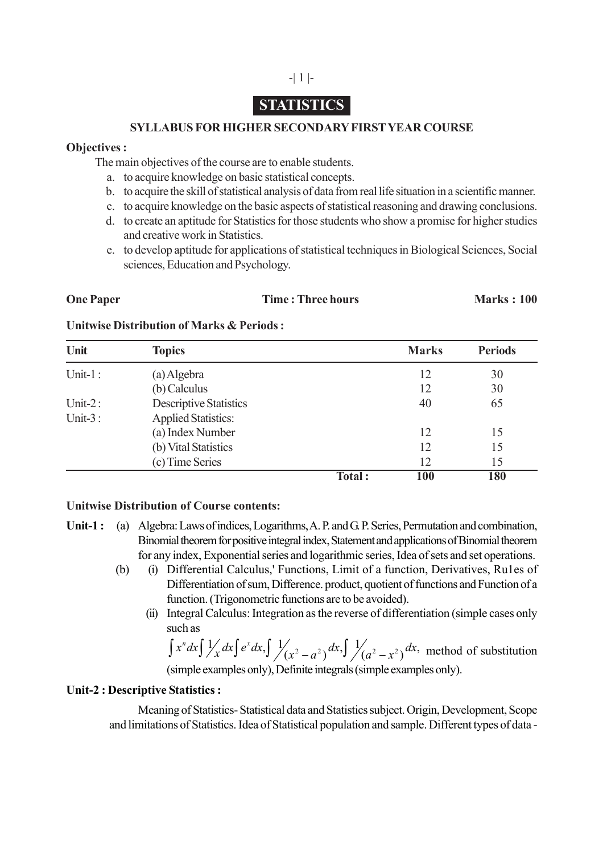## -| 1 |-

# **STATISTICS**

## **SYLLABUS FOR HIGHER SECONDARY FIRST YEAR COURSE**

## **Objectives :**

The main objectives of the course are to enable students.

- a. to acquire knowledge on basic statistical concepts.
- b. to acquire the skill of statistical analysis of data from real life situation in a scientific manner.
- c. to acquire knowledge on the basic aspects of statistical reasoning and drawing conclusions.
- d. to create an aptitude for Statistics for those students who show a promise for higher studies and creative work in Statistics.
- e. to develop aptitude for applications of statistical techniques in Biological Sciences, Social sciences, Education and Psychology.

## **One Paper Time : Three hours Marks : 100**

## **Unitwise Distribution of Marks & Periods :**

| Unit        | <b>Topics</b>                 |        | <b>Marks</b> | <b>Periods</b> |
|-------------|-------------------------------|--------|--------------|----------------|
| Unit- $1$ : | (a) Algebra                   |        | 12           | 30             |
|             | (b) Calculus                  |        | 12           | 30             |
| Unit- $2:$  | <b>Descriptive Statistics</b> |        | 40           | 65             |
| Unit- $3:$  | <b>Applied Statistics:</b>    |        |              |                |
|             | (a) Index Number              |        | 12           | 15             |
|             | (b) Vital Statistics          |        | 12           | 15             |
|             | (c) Time Series               |        | 12           | 15             |
|             |                               | Total: | 100          | 180            |

#### **Unitwise Distribution of Course contents:**

- **Unit-1 :** (a) Algebra: Laws of indices, Logarithms, A. P. and G. P. Series, Permutation and combination, Binomial theorem for positive integral index, Statement and applications of Binomial theorem for any index, Exponential series and logarithmic series, Idea of sets and set operations.
	- (b) (i) Differential Calculus,' Functions, Limit of a function, Derivatives, Ru1es of Differentiation of sum, Difference. product, quotient of functions and Function of a function. (Trigonometric functions are to be avoided).
		- (ii) Integral Calculus: Integration as the reverse of differentiation (simple cases only such as

 $\int x^n dx \int \frac{1}{x^2} dx \int e^x dx$ ,  $\int \frac{1}{x^2 - a^2} dx$ ,  $\int \frac{1}{a^2 - x^2} dx$ , method of substitution (simple examples only), Definite integrals (simple examples only).

## **Unit-2 : Descriptive Statistics :**

Meaning of Statistics- Statistical data and Statistics subject. Origin, Development, Scope and limitations of Statistics. Idea of Statistical population and sample. Different types of data -